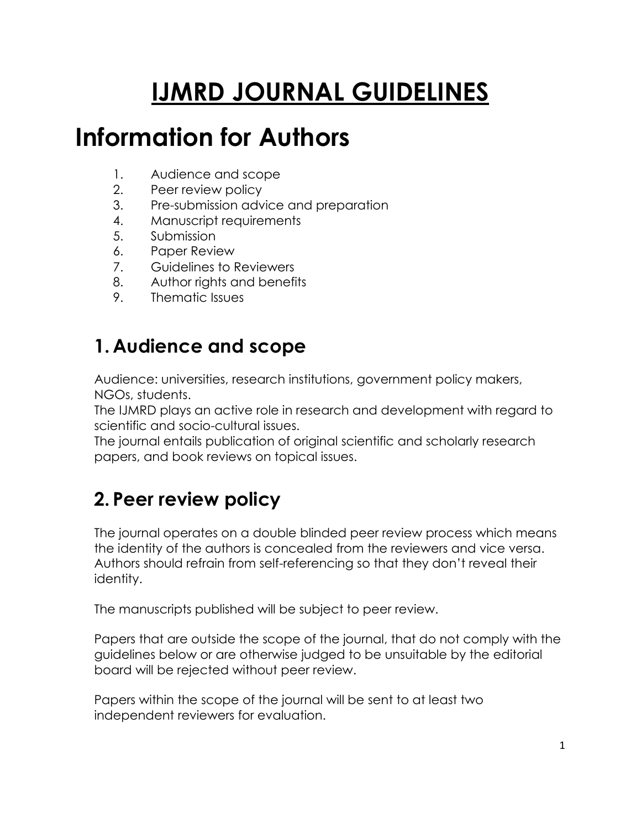# **IJMRD JOURNAL GUIDELINES**

# **Information for Authors**

- 1. Audience and scope
- 2. Peer review policy
- 3. Pre-submission advice and preparation
- 4. Manuscript requirements
- 5. Submission
- 6. Paper Review
- 7. Guidelines to Reviewers
- 8. Author rights and benefits
- 9. Thematic Issues

# **1. Audience and scope**

Audience: universities, research institutions, government policy makers, NGOs, students.

The IJMRD plays an active role in research and development with regard to scientific and socio-cultural issues.

The journal entails publication of original scientific and scholarly research papers, and book reviews on topical issues.

# **2. Peer review policy**

The journal operates on a double blinded peer review process which means the identity of the authors is concealed from the reviewers and vice versa. Authors should refrain from self-referencing so that they don't reveal their identity.

The manuscripts published will be subject to peer review.

Papers that are outside the scope of the journal, that do not comply with the guidelines below or are otherwise judged to be unsuitable by the editorial board will be rejected without peer review.

Papers within the scope of the journal will be sent to at least two independent reviewers for evaluation.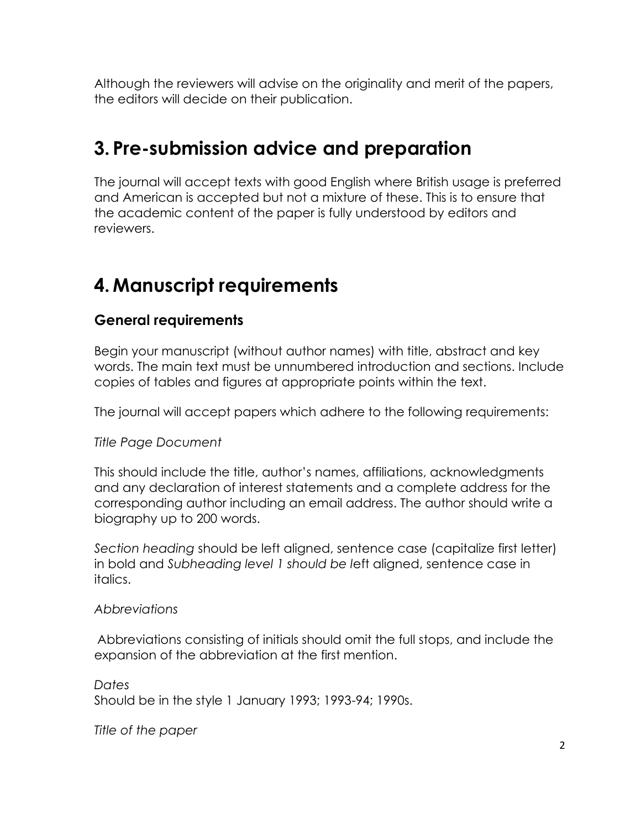Although the reviewers will advise on the originality and merit of the papers, the editors will decide on their publication.

## **3. Pre-submission advice and preparation**

The journal will accept texts with good English where British usage is preferred and American is accepted but not a mixture of these. This is to ensure that the academic content of the paper is fully understood by editors and reviewers.

# **4. Manuscript requirements**

#### **General requirements**

Begin your manuscript (without author names) with title, abstract and key words. The main text must be unnumbered introduction and sections. Include copies of tables and figures at appropriate points within the text.

The journal will accept papers which adhere to the following requirements:

#### *Title Page Document*

This should include the title, author's names, affiliations, acknowledgments and any declaration of interest statements and a complete address for the corresponding author including an email address. The author should write a biography up to 200 words.

*Section heading* should be left aligned, sentence case (capitalize first letter) in bold and *Subheading level 1 should be l*eft aligned, sentence case in italics.

#### *Abbreviations*

Abbreviations consisting of initials should omit the full stops, and include the expansion of the abbreviation at the first mention.

*Dates*  Should be in the style 1 January 1993; 1993-94; 1990s.

*Title of the paper*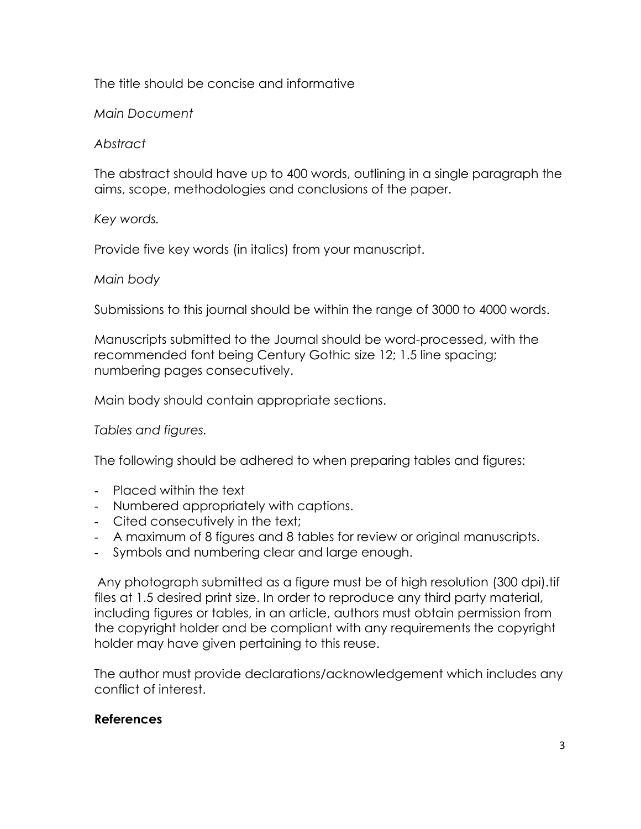#### The title should be concise and informative

#### *Main Document*

#### *Abstract*

The abstract should have up to 400 words, outlining in a single paragraph the aims, scope, methodologies and conclusions of the paper.

#### *Key words.*

Provide five key words (in italics) from your manuscript.

#### *Main body*

Submissions to this journal should be within the range of 3000 to 4000 words.

Manuscripts submitted to the Journal should be word-processed, with the recommended font being Century Gothic size 12; 1.5 line spacing; numbering pages consecutively.

Main body should contain appropriate sections.

*Tables and figures.*

The following should be adhered to when preparing tables and figures:

- Placed within the text
- Numbered appropriately with captions.
- Cited consecutively in the text;
- A maximum of 8 figures and 8 tables for review or original manuscripts.
- Symbols and numbering clear and large enough.

Any photograph submitted as a figure must be of high resolution (300 dpi).tif files at 1.5 desired print size. In order to reproduce any third party material, including figures or tables, in an article, authors must obtain permission from the copyright holder and be compliant with any requirements the copyright holder may have given pertaining to this reuse.

The author must provide declarations/acknowledgement which includes any conflict of interest.

#### **References**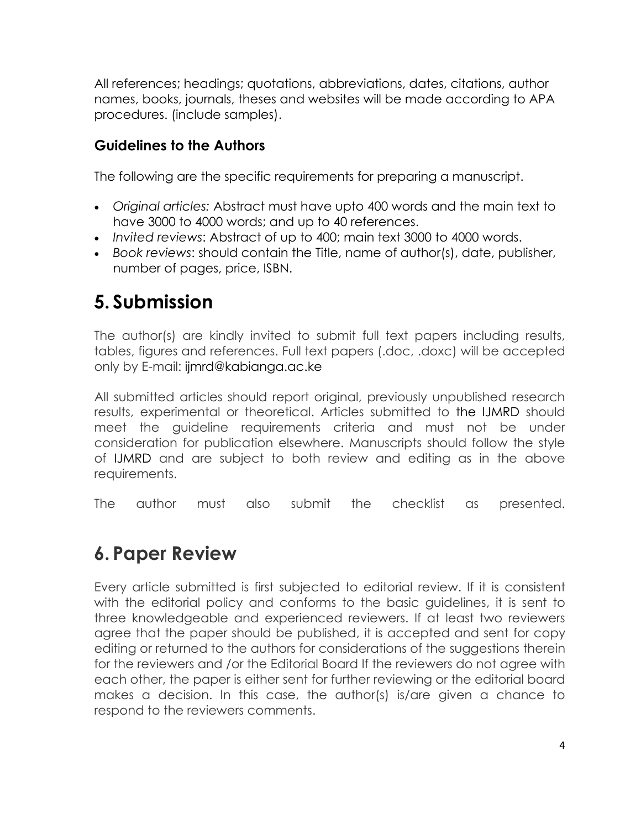All references; headings; quotations, abbreviations, dates, citations, author names, books, journals, theses and websites will be made according to APA procedures. (include samples).

#### **Guidelines to the Authors**

The following are the specific requirements for preparing a manuscript.

- *Original articles:* Abstract must have upto 400 words and the main text to have 3000 to 4000 words; and up to 40 references.
- *Invited reviews*: Abstract of up to 400; main text 3000 to 4000 words.
- *Book reviews*: should contain the Title, name of author(s), date, publisher, number of pages, price, ISBN.

## **5. Submission**

The author(s) are kindly invited to submit full text papers including results, tables, figures and references. Full text papers (.doc, .doxc) will be accepted only by E-mail: ijmrd@kabianga.ac.ke

All submitted articles should report original, previously unpublished research results, experimental or theoretical. Articles submitted to the IJMRD should meet the guideline requirements criteria and must not be under consideration for publication elsewhere. Manuscripts should follow the style of IJMRD and are subject to both review and editing as in the above requirements.

The author must also submit the checklist as presented.

# **6. Paper Review**

Every article submitted is first subjected to editorial review. If it is consistent with the editorial policy and conforms to the basic guidelines, it is sent to three knowledgeable and experienced reviewers. If at least two reviewers agree that the paper should be published, it is accepted and sent for copy editing or returned to the authors for considerations of the suggestions therein for the reviewers and /or the Editorial Board If the reviewers do not agree with each other, the paper is either sent for further reviewing or the editorial board makes a decision. In this case, the author(s) is/are given a chance to respond to the reviewers comments.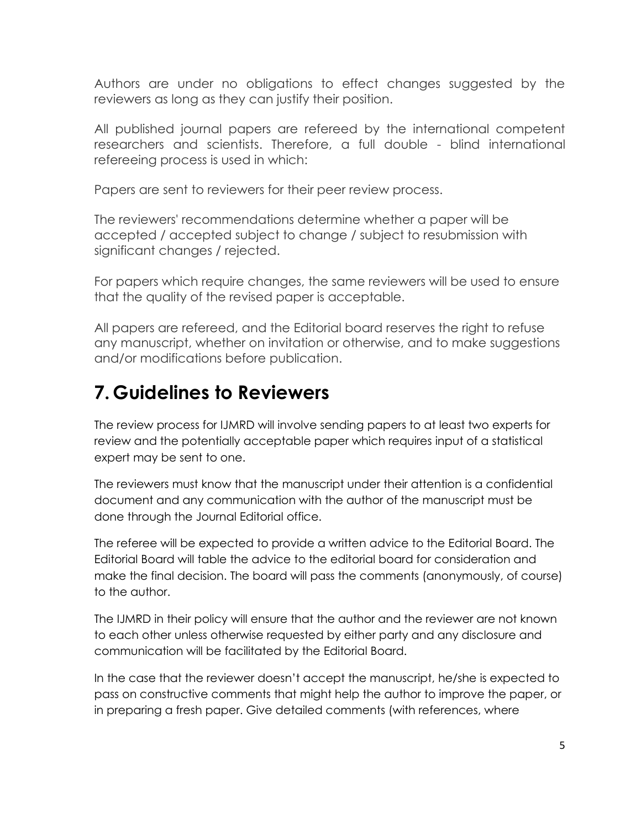Authors are under no obligations to effect changes suggested by the reviewers as long as they can justify their position.

All published journal papers are refereed by the international competent researchers and scientists. Therefore, a full double - blind international refereeing process is used in which:

Papers are sent to reviewers for their peer review process.

The reviewers' recommendations determine whether a paper will be accepted / accepted subject to change / subject to resubmission with significant changes / rejected.

For papers which require changes, the same reviewers will be used to ensure that the quality of the revised paper is acceptable.

All papers are refereed, and the Editorial board reserves the right to refuse any manuscript, whether on invitation or otherwise, and to make suggestions and/or modifications before publication.

# **7. Guidelines to Reviewers**

The review process for IJMRD will involve sending papers to at least two experts for review and the potentially acceptable paper which requires input of a statistical expert may be sent to one.

The reviewers must know that the manuscript under their attention is a confidential document and any communication with the author of the manuscript must be done through the Journal Editorial office.

The referee will be expected to provide a written advice to the Editorial Board. The Editorial Board will table the advice to the editorial board for consideration and make the final decision. The board will pass the comments (anonymously, of course) to the author.

The IJMRD in their policy will ensure that the author and the reviewer are not known to each other unless otherwise requested by either party and any disclosure and communication will be facilitated by the Editorial Board.

In the case that the reviewer doesn't accept the manuscript, he/she is expected to pass on constructive comments that might help the author to improve the paper, or in preparing a fresh paper. Give detailed comments (with references, where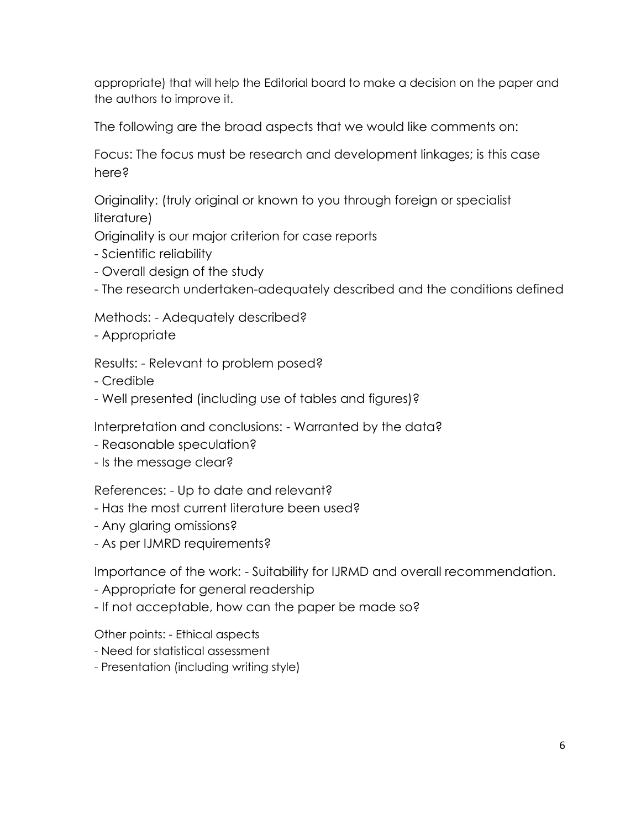appropriate) that will help the Editorial board to make a decision on the paper and the authors to improve it.

The following are the broad aspects that we would like comments on:

Focus: The focus must be research and development linkages; is this case here?

Originality: (truly original or known to you through foreign or specialist literature)

Originality is our major criterion for case reports

- Scientific reliability
- Overall design of the study
- The research undertaken-adequately described and the conditions defined

Methods: - Adequately described?

- Appropriate

Results: - Relevant to problem posed?

- Credible
- Well presented (including use of tables and figures)?

Interpretation and conclusions: - Warranted by the data?

- Reasonable speculation?
- Is the message clear?

References: - Up to date and relevant?

- Has the most current literature been used?
- Any glaring omissions?
- As per IJMRD requirements?

Importance of the work: - Suitability for IJRMD and overall recommendation.

- Appropriate for general readership
- If not acceptable, how can the paper be made so?

Other points: - Ethical aspects

- Need for statistical assessment
- Presentation (including writing style)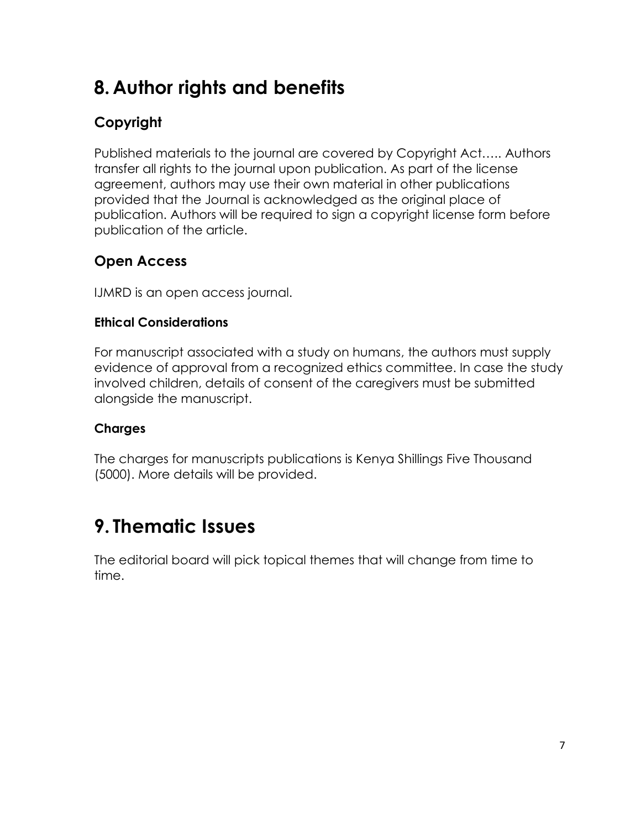# **8. Author rights and benefits**

### **Copyright**

Published materials to the journal are covered by Copyright Act….. Authors transfer all rights to the journal upon publication. As part of the license agreement, authors may use their own material in other publications provided that the Journal is acknowledged as the original place of publication. Authors will be required to sign a copyright license form before publication of the article.

#### **Open Access**

IJMRD is an open access journal.

#### **Ethical Considerations**

For manuscript associated with a study on humans, the authors must supply evidence of approval from a recognized ethics committee. In case the study involved children, details of consent of the caregivers must be submitted alongside the manuscript.

#### **Charges**

The charges for manuscripts publications is Kenya Shillings Five Thousand (5000). More details will be provided.

# **9. Thematic Issues**

The editorial board will pick topical themes that will change from time to time.